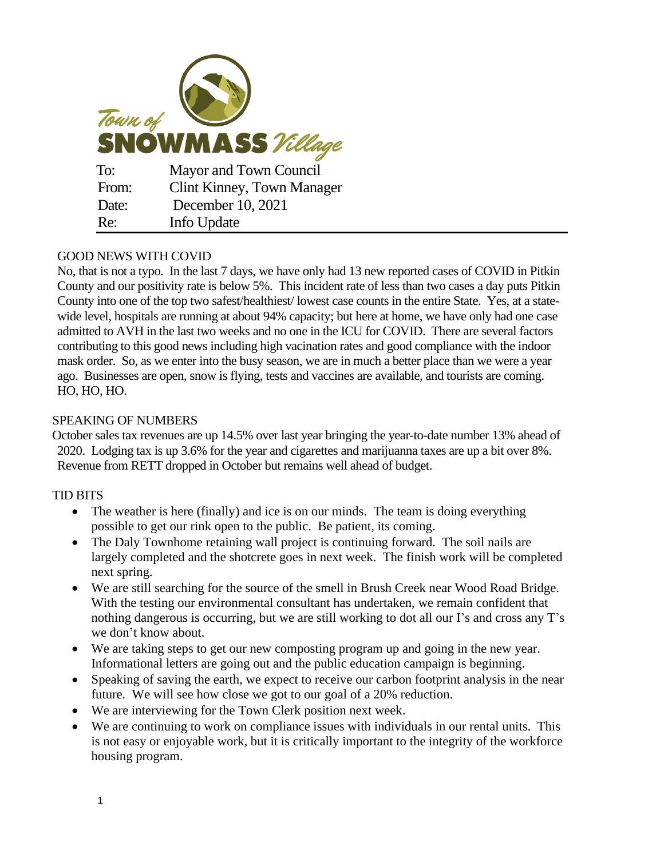

## GOOD NEWS WITH COVID

No, that is not a typo. In the last 7 days, we have only had 13 new reported cases of COVID in Pitkin County and our positivity rate is below 5%. This incident rate of less than two cases a day puts Pitkin County into one of the top two safest/healthiest/ lowest case counts in the entire State. Yes, at a statewide level, hospitals are running at about 94% capacity; but here at home, we have only had one case admitted to AVH in the last two weeks and no one in the ICU for COVID. There are several factors contributing to this good news including high vacination rates and good compliance with the indoor mask order. So, as we enter into the busy season, we are in much a better place than we were a year ago. Businesses are open, snow is flying, tests and vaccines are available, and tourists are coming. HO, HO, HO.

## SPEAKING OF NUMBERS

October sales tax revenues are up 14.5% over last year bringing the year-to-date number 13% ahead of 2020. Lodging tax is up 3.6% for the year and cigarettes and marijuanna taxes are up a bit over 8%. Revenue from RETT dropped in October but remains well ahead of budget.

## TID BITS

- The weather is here (finally) and ice is on our minds. The team is doing everything possible to get our rink open to the public. Be patient, its coming.
- The Daly Townhome retaining wall project is continuing forward. The soil nails are largely completed and the shotcrete goes in next week. The finish work will be completed next spring.
- We are still searching for the source of the smell in Brush Creek near Wood Road Bridge. With the testing our environmental consultant has undertaken, we remain confident that nothing dangerous is occurring, but we are still working to dot all our I's and cross any T's we don't know about.
- We are taking steps to get our new composting program up and going in the new year. Informational letters are going out and the public education campaign is beginning.
- Speaking of saving the earth, we expect to receive our carbon footprint analysis in the near future. We will see how close we got to our goal of a 20% reduction.
- We are interviewing for the Town Clerk position next week.
- We are continuing to work on compliance issues with individuals in our rental units. This is not easy or enjoyable work, but it is critically important to the integrity of the workforce housing program.